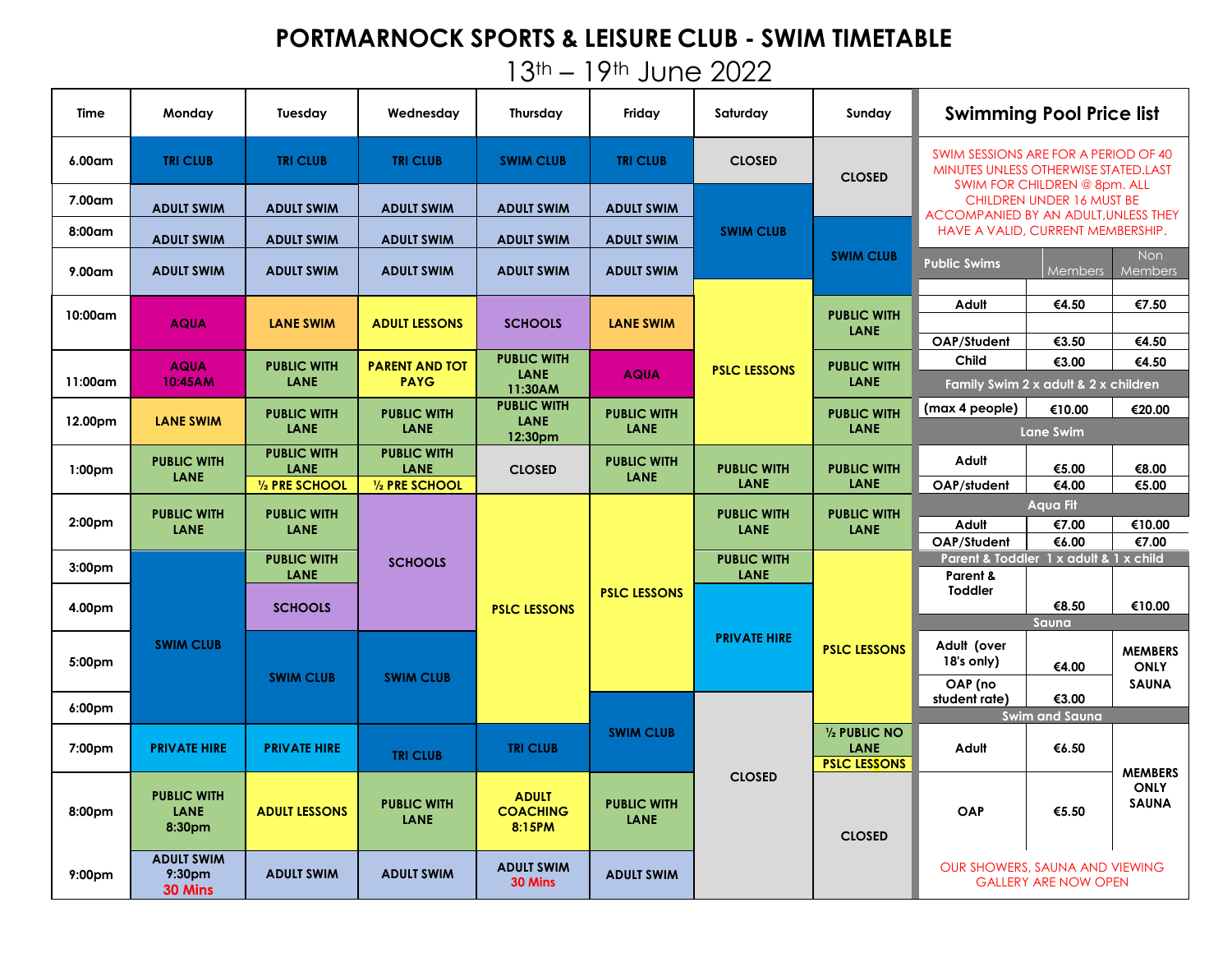## **PORTMARNOCK SPORTS & LEISURE CLUB - SWIM TIMETABLE**

13th – 19th June 2022

| Time               | Monday                                             | Tuesday                    | Wednesday                                            | <b>Thursday</b>                              | Friday                                         | Saturday                   | Sunday                            | <b>Swimming Pool Price list</b>                                                                              |                                      |                                               |
|--------------------|----------------------------------------------------|----------------------------|------------------------------------------------------|----------------------------------------------|------------------------------------------------|----------------------------|-----------------------------------|--------------------------------------------------------------------------------------------------------------|--------------------------------------|-----------------------------------------------|
| 6.00am             | <b>TRI CLUB</b>                                    | <b>TRI CLUB</b>            | <b>TRI CLUB</b>                                      | <b>SWIM CLUB</b>                             | <b>TRI CLUB</b>                                | <b>CLOSED</b>              | <b>CLOSED</b>                     | SWIM SESSIONS ARE FOR A PERIOD OF 40<br>MINUTES UNLESS OTHERWISE STATED.LAST<br>SWIM FOR CHILDREN @ 8pm. ALL |                                      |                                               |
| 7.00am             | <b>ADULT SWIM</b>                                  | <b>ADULT SWIM</b>          | <b>ADULT SWIM</b>                                    | <b>ADULT SWIM</b>                            | <b>ADULT SWIM</b>                              |                            |                                   | CHILDREN UNDER 16 MUST BE<br>ACCOMPANIED BY AN ADULT, UNLESS THEY<br>HAVE A VALID, CURRENT MEMBERSHIP.       |                                      |                                               |
| 8:00am             |                                                    |                            |                                                      |                                              |                                                | <b>SWIM CLUB</b>           |                                   |                                                                                                              |                                      |                                               |
|                    | <b>ADULT SWIM</b>                                  | <b>ADULT SWIM</b>          | <b>ADULT SWIM</b>                                    | <b>ADULT SWIM</b>                            | <b>ADULT SWIM</b>                              |                            | <b>SWIM CLUB</b>                  | Non<br><b>Public Swims</b>                                                                                   |                                      |                                               |
| $9.00$ am          | <b>ADULT SWIM</b>                                  | <b>ADULT SWIM</b>          | <b>ADULT SWIM</b>                                    | <b>ADULT SWIM</b>                            | <b>ADULT SWIM</b>                              |                            |                                   |                                                                                                              | <b>Members</b>                       | <b>Members</b>                                |
| 10:00am            | <b>AQUA</b>                                        | <b>LANE SWIM</b>           | <b>ADULT LESSONS</b>                                 | <b>SCHOOLS</b><br><b>PUBLIC WITH</b>         | <b>LANE SWIM</b>                               | <b>PSLC LESSONS</b>        | <b>PUBLIC WITH</b><br><b>LANE</b> | Adult                                                                                                        | €4.50                                | €7.50                                         |
|                    |                                                    |                            |                                                      |                                              |                                                |                            |                                   |                                                                                                              |                                      |                                               |
|                    |                                                    |                            |                                                      |                                              |                                                |                            |                                   | OAP/Student                                                                                                  | €3.50                                | €4.50                                         |
| $11:00$ am         | <b>AQUA</b><br>10:45AM                             | <b>PUBLIC WITH</b><br>LANE | <b>PARENT AND TOT</b><br><b>PAYG</b>                 | <b>LANE</b><br>11:30AM                       | <b>AQUA</b>                                    |                            | <b>PUBLIC WITH</b><br><b>LANE</b> | Child                                                                                                        | €3.00                                | €4.50                                         |
|                    |                                                    |                            |                                                      |                                              |                                                |                            |                                   |                                                                                                              | Family Swim 2 x adult & 2 x children |                                               |
| 12.00pm            | <b>LANE SWIM</b>                                   | <b>PUBLIC WITH</b><br>LANE | <b>PUBLIC WITH</b><br><b>LANE</b>                    | <b>PUBLIC WITH</b><br><b>LANE</b><br>12:30pm | <b>PUBLIC WITH</b><br>LANE                     |                            | <b>PUBLIC WITH</b><br><b>LANE</b> | (max 4 people)                                                                                               | €10.00                               | €20.00                                        |
|                    |                                                    |                            |                                                      |                                              |                                                |                            |                                   | <b>Lane Swim</b>                                                                                             |                                      |                                               |
| 1:00 <sub>pm</sub> | <b>PUBLIC WITH</b><br>LANE                         | <b>PUBLIC WITH</b>         | <b>PUBLIC WITH</b><br><b>LANE</b><br>1/2 PRE SCHOOL  | <b>CLOSED</b>                                | <b>PUBLIC WITH</b><br><b>LANE</b>              | <b>PUBLIC WITH</b><br>LANE | <b>PUBLIC WITH</b><br><b>LANE</b> | Adult                                                                                                        |                                      |                                               |
|                    |                                                    | LANE<br>1/2 PRE SCHOOL     |                                                      |                                              |                                                |                            |                                   | OAP/student                                                                                                  | €5.00<br>€4.00                       | €8.00<br>€5.00                                |
|                    |                                                    |                            |                                                      |                                              |                                                | <b>PUBLIC WITH</b><br>LANE | <b>PUBLIC WITH</b><br><b>LANE</b> | <b>Aqua Fit</b>                                                                                              |                                      |                                               |
| 2:00 <sub>pm</sub> | <b>PUBLIC WITH</b><br>LANE                         | <b>PUBLIC WITH</b>         |                                                      |                                              | <b>PSLC LESSONS</b>                            |                            |                                   | Adult                                                                                                        | €7.00                                | €10.00                                        |
|                    |                                                    | LANE                       |                                                      |                                              |                                                |                            |                                   | OAP/Student                                                                                                  | €6.00                                | €7.00                                         |
| 3:00 <sub>pm</sub> | <b>SWIM CLUB</b>                                   | <b>PUBLIC WITH</b>         | <b>SCHOOLS</b>                                       | <b>PSLC LESSONS</b>                          |                                                | <b>PUBLIC WITH</b>         | <b>PSLC LESSONS</b>               | Parent & Toddler 1 x adult & 1 x child                                                                       |                                      |                                               |
|                    |                                                    | LANE                       |                                                      |                                              |                                                | LANE                       |                                   | Parent &<br><b>Toddler</b>                                                                                   |                                      |                                               |
| 4.00pm             |                                                    | <b>SCHOOLS</b>             |                                                      |                                              |                                                | <b>PRIVATE HIRE</b>        |                                   |                                                                                                              | €8.50                                | €10.00                                        |
|                    |                                                    |                            |                                                      |                                              |                                                |                            |                                   | Sauna                                                                                                        |                                      |                                               |
|                    |                                                    |                            |                                                      |                                              |                                                |                            |                                   | Adult (over                                                                                                  |                                      | <b>MEMBERS</b>                                |
| 5:00pm             |                                                    |                            |                                                      |                                              |                                                |                            |                                   | 18's only)                                                                                                   | €4.00                                | <b>ONLY</b>                                   |
|                    |                                                    | <b>SWIM CLUB</b>           | <b>SWIM CLUB</b>                                     |                                              |                                                |                            |                                   | OAP (no                                                                                                      |                                      | <b>SAUNA</b>                                  |
| 6:00pm             |                                                    |                            |                                                      |                                              |                                                |                            |                                   | student rate)                                                                                                | €3.00                                |                                               |
|                    |                                                    |                            |                                                      |                                              | <b>SWIM CLUB</b><br><b>PUBLIC WITH</b><br>LANE | <b>CLOSED</b>              | 1/2 PUBLIC NO                     |                                                                                                              | <b>Swim and Sauna</b>                |                                               |
| 7:00 <sub>pm</sub> | <b>PRIVATE HIRE</b>                                | <b>PRIVATE HIRE</b>        | <b>TRI CLUB</b><br><b>PUBLIC WITH</b><br><b>LANE</b> | <b>TRI CLUB</b>                              |                                                |                            | LANE                              | Adult                                                                                                        | €6.50                                | <b>MEMBERS</b><br><b>ONLY</b><br><b>SAUNA</b> |
|                    |                                                    |                            |                                                      |                                              |                                                |                            | <b>PSLC LESSONS</b>               |                                                                                                              |                                      |                                               |
| 8:00pm             | <b>PUBLIC WITH</b><br>LANE<br>8:30pm               | <b>ADULT LESSONS</b>       |                                                      | <b>ADULT</b><br><b>COACHING</b><br>8:15PM    |                                                |                            | <b>CLOSED</b>                     | OAP                                                                                                          | €5.50                                |                                               |
| 9:00 <sub>pm</sub> | <b>ADULT SWIM</b><br>9:30 <sub>pm</sub><br>30 Mins | <b>ADULT SWIM</b>          | <b>ADULT SWIM</b>                                    | <b>ADULT SWIM</b><br>30 Mins                 | <b>ADULT SWIM</b>                              |                            |                                   | OUR SHOWERS, SAUNA AND VIEWING<br><b>GALLERY ARE NOW OPEN</b>                                                |                                      |                                               |